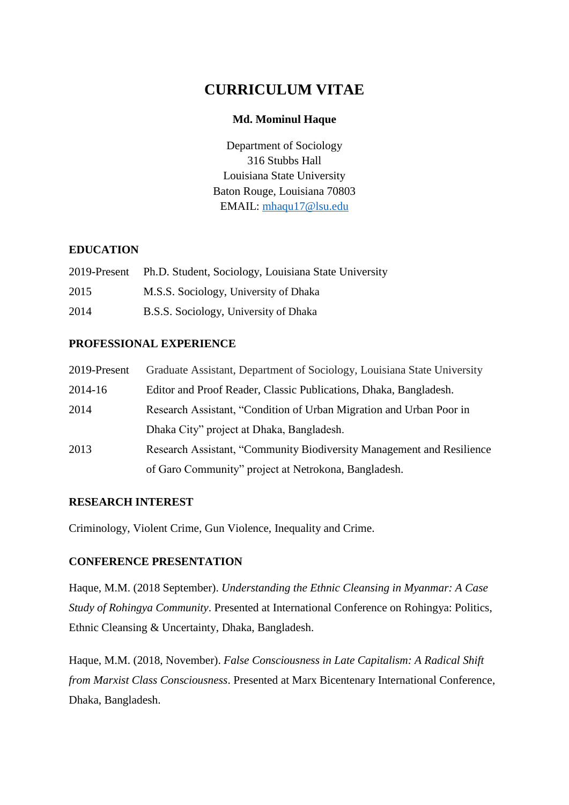# **CURRICULUM VITAE**

### **Md. Mominul Haque**

Department of Sociology 316 Stubbs Hall Louisiana State University Baton Rouge, Louisiana 70803 EMAIL: [mhaqu17@lsu.edu](mailto:mhaqu17@lsu.edu)

### **EDUCATION**

| 2019-Present | Ph.D. Student, Sociology, Louisiana State University |
|--------------|------------------------------------------------------|
| 2015         | M.S.S. Sociology, University of Dhaka                |
| 2014         | B.S.S. Sociology, University of Dhaka                |

# **PROFESSIONAL EXPERIENCE**

| 2019-Present | Graduate Assistant, Department of Sociology, Louisiana State University |
|--------------|-------------------------------------------------------------------------|
| 2014-16      | Editor and Proof Reader, Classic Publications, Dhaka, Bangladesh.       |
| 2014         | Research Assistant, "Condition of Urban Migration and Urban Poor in     |
|              | Dhaka City" project at Dhaka, Bangladesh.                               |
| 2013         | Research Assistant, "Community Biodiversity Management and Resilience   |
|              | of Garo Community" project at Netrokona, Bangladesh.                    |

# **RESEARCH INTEREST**

Criminology, Violent Crime, Gun Violence, Inequality and Crime.

# **CONFERENCE PRESENTATION**

Haque, M.M. (2018 September). *Understanding the Ethnic Cleansing in Myanmar: A Case Study of Rohingya Community*. Presented at International Conference on Rohingya: Politics, Ethnic Cleansing & Uncertainty, Dhaka, Bangladesh.

Haque, M.M. (2018, November). *False Consciousness in Late Capitalism: A Radical Shift from Marxist Class Consciousness*. Presented at Marx Bicentenary International Conference, Dhaka, Bangladesh.